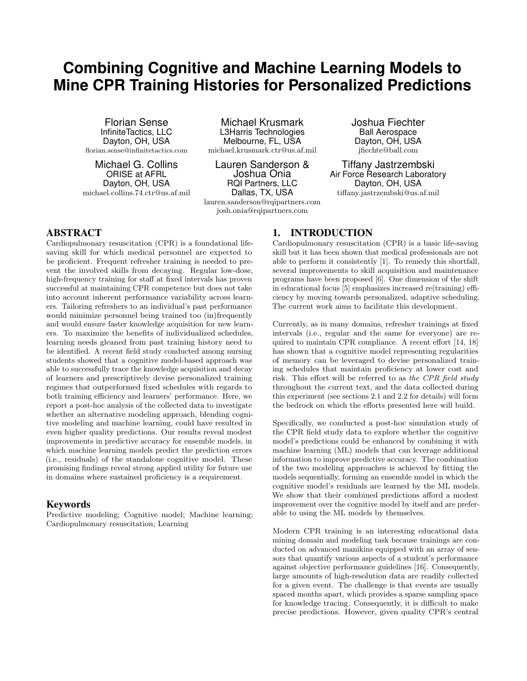# **Combining Cognitive and Machine Learning Models to Mine CPR Training Histories for Personalized Predictions**

Florian Sense InfiniteTactics, LLC Dayton, OH, USA florian.sense@infinitetactics.com

Michael G. Collins ORISE at AFRL Dayton, OH, USA michael.collins.74.ctr@us.af.mil

Michael Krusmark L3Harris Technologies Melbourne, FL, USA michael.krusmark.ctr@us.af.mil

Lauren Sanderson & Joshua Onia RQI Partners, LLC Dallas, TX, USA

lauren.sanderson@rqipartners.com josh.onia@rqipartners.com

Joshua Fiechter Ball Aerospace Dayton, OH, USA jfiechte@ball.com

Tiffany Jastrzembski Air Force Research Laboratory Dayton, OH, USA tiffany.jastrzembski@us.af.mil

# ABSTRACT

Cardiopulmonary resuscitation (CPR) is a foundational lifesaving skill for which medical personnel are expected to be proficient. Frequent refresher training is needed to prevent the involved skills from decaying. Regular low-dose, high-frequency training for staff at fixed intervals has proven successful at maintaining CPR competence but does not take into account inherent performance variability across learners. Tailoring refreshers to an individual's past performance would minimize personnel being trained too (in)frequently and would ensure faster knowledge acquisition for new learners. To maximize the benefits of individualized schedules, learning needs gleaned from past training history need to be identified. A recent field study conducted among nursing students showed that a cognitive model-based approach was able to successfully trace the knowledge acquisition and decay of learners and prescriptively devise personalized training regimes that outperformed fixed schedules with regards to both training efficiency and learners' performance. Here, we report a post-hoc analysis of the collected data to investigate whether an alternative modeling approach, blending cognitive modeling and machine learning, could have resulted in even higher quality predictions. Our results reveal modest improvements in predictive accuracy for ensemble models, in which machine learning models predict the prediction errors (i.e., residuals) of the standalone cognitive model. These promising findings reveal strong applied utility for future use in domains where sustained proficiency is a requirement.

# Keywords

Predictive modeling; Cognitive model; Machine learning; Cardiopulmonary resuscitation; Learning

# 1. INTRODUCTION

Cardiopulmonary resuscitation (CPR) is a basic life-saving skill but it has been shown that medical professionals are not able to perform it consistently [1]. To remedy this shortfall, several improvements to skill acquisition and maintenance programs have been proposed [6]. One dimension of the shift in educational focus [5] emphasizes increased re(training) efficiency by moving towards personalized, adaptive scheduling. The current work aims to facilitate this development.

Currently, as in many domains, refresher trainings at fixed intervals (i.e., regular and the same for everyone) are required to maintain CPR compliance. A recent effort [14, 18] has shown that a cognitive model representing regularities of memory can be leveraged to devise personalized training schedules that maintain proficiency at lower cost and risk. This effort will be referred to as the CPR field study throughout the current text, and the data collected during this experiment (see sections 2.1 and 2.2 for details) will form the bedrock on which the efforts presented here will build.

Specifically, we conducted a post-hoc simulation study of the CPR field study data to explore whether the cognitive model's predictions could be enhanced by combining it with machine learning (ML) models that can leverage additional information to improve predictive accuracy. The combination of the two modeling approaches is achieved by fitting the models sequentially, forming an ensemble model in which the cognitive model's residuals are learned by the ML models. We show that their combined predictions afford a modest improvement over the cognitive model by itself and are preferable to using the ML models by themselves.

Modern CPR training is an interesting educational data mining domain and modeling task because trainings are conducted on advanced manikins equipped with an array of sensors that quantify various aspects of a student's performance against objective performance guidelines [16]. Consequently, large amounts of high-resolution data are readily collected for a given event. The challenge is that events are usually spaced months apart, which provides a sparse sampling space for knowledge tracing. Consequently, it is difficult to make precise predictions. However, given quality CPR's central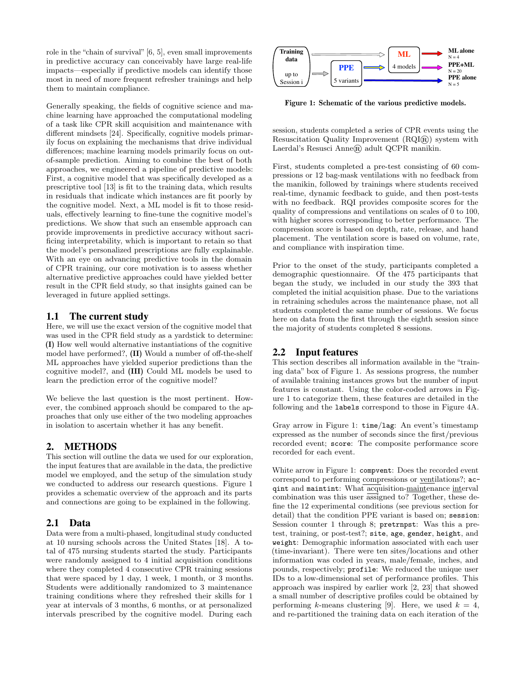role in the "chain of survival" [6, 5], even small improvements in predictive accuracy can conceivably have large real-life impacts—especially if predictive models can identify those most in need of more frequent refresher trainings and help them to maintain compliance.

Generally speaking, the fields of cognitive science and machine learning have approached the computational modeling of a task like CPR skill acquisition and maintenance with different mindsets [24]. Specifically, cognitive models primarily focus on explaining the mechanisms that drive individual differences; machine learning models primarily focus on outof-sample prediction. Aiming to combine the best of both approaches, we engineered a pipeline of predictive models: First, a cognitive model that was specifically developed as a prescriptive tool [13] is fit to the training data, which results in residuals that indicate which instances are fit poorly by the cognitive model. Next, a ML model is fit to those residuals, effectively learning to fine-tune the cognitive model's predictions. We show that such an ensemble approach can provide improvements in predictive accuracy without sacrificing interpretability, which is important to retain so that the model's personalized prescriptions are fully explainable. With an eye on advancing predictive tools in the domain of CPR training, our core motivation is to assess whether alternative predictive approaches could have yielded better result in the CPR field study, so that insights gained can be leveraged in future applied settings.

## 1.1 The current study

Here, we will use the exact version of the cognitive model that was used in the CPR field study as a yardstick to determine: (I) How well would alternative instantiations of the cognitive model have performed?, (II) Would a number of off-the-shelf ML approaches have yielded superior predictions than the cognitive model?, and (III) Could ML models be used to learn the prediction error of the cognitive model?

We believe the last question is the most pertinent. However, the combined approach should be compared to the approaches that only use either of the two modeling approaches in isolation to ascertain whether it has any benefit.

### 2. METHODS

This section will outline the data we used for our exploration, the input features that are available in the data, the predictive model we employed, and the setup of the simulation study we conducted to address our research questions. Figure 1 provides a schematic overview of the approach and its parts and connections are going to be explained in the following.

### 2.1 Data

Data were from a multi-phased, longitudinal study conducted at 10 nursing schools across the United States [18]. A total of 475 nursing students started the study. Participants were randomly assigned to 4 initial acquisition conditions where they completed 4 consecutive CPR training sessions that were spaced by 1 day, 1 week, 1 month, or 3 months. Students were additionally randomized to 3 maintenance training conditions where they refreshed their skills for 1 year at intervals of 3 months, 6 months, or at personalized intervals prescribed by the cognitive model. During each



Figure 1: Schematic of the various predictive models.

session, students completed a series of CPR events using the Resuscitation Quality Improvement  $(RQI(\hat{R}))$  system with Laerdal's Resusci Anne® adult QCPR manikin.

First, students completed a pre-test consisting of 60 compressions or 12 bag-mask ventilations with no feedback from the manikin, followed by trainings where students received real-time, dynamic feedback to guide, and then post-tests with no feedback. RQI provides composite scores for the quality of compressions and ventilations on scales of 0 to 100, with higher scores corresponding to better performance. The compression score is based on depth, rate, release, and hand placement. The ventilation score is based on volume, rate, and compliance with inspiration time.

Prior to the onset of the study, participants completed a demographic questionnaire. Of the 475 participants that began the study, we included in our study the 393 that completed the initial acquisition phase. Due to the variations in retraining schedules across the maintenance phase, not all students completed the same number of sessions. We focus here on data from the first through the eighth session since the majority of students completed 8 sessions.

# 2.2 Input features

This section describes all information available in the "training data" box of Figure 1. As sessions progress, the number of available training instances grows but the number of input features is constant. Using the color-coded arrows in Figure 1 to categorize them, these features are detailed in the following and the labels correspond to those in Figure 4A.

Gray arrow in Figure 1: time/lag: An event's timestamp expressed as the number of seconds since the first/previous recorded event; score: The composite performance score recorded for each event.

White arrow in Figure 1: compvent: Does the recorded event correspond to performing compressions or ventilations?; acqint and maintint: What acquisition-maintenance interval combination was this user assigned to? Together, these define the 12 experimental conditions (see previous section for detail) that the condition PPE variant is based on; session: Session counter 1 through 8; pretrnpst: Was this a pretest, training, or post-test?; site, age, gender, height, and weight: Demographic information associated with each user (time-invariant). There were ten sites/locations and other information was coded in years, male/female, inches, and pounds, respectively; profile: We reduced the unique user IDs to a low-dimensional set of performance profiles. This approach was inspired by earlier work [2, 23] that showed a small number of descriptive profiles could be obtained by performing k-means clustering [9]. Here, we used  $k = 4$ , and re-partitioned the training data on each iteration of the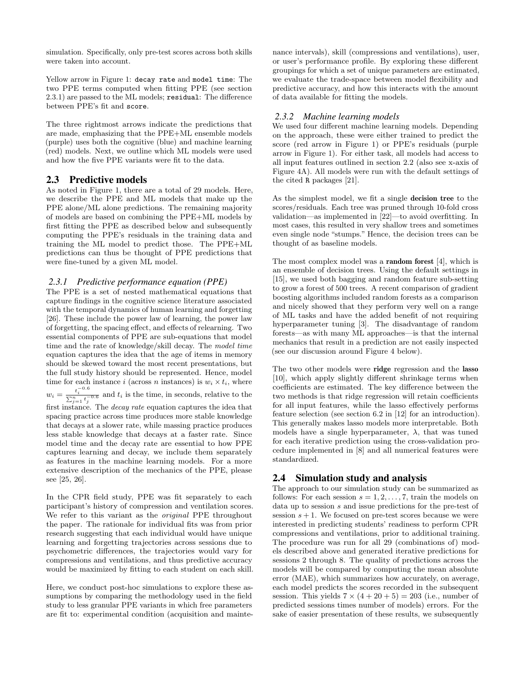simulation. Specifically, only pre-test scores across both skills were taken into account.

Yellow arrow in Figure 1: decay rate and model time: The two PPE terms computed when fitting PPE (see section 2.3.1) are passed to the ML models; residual: The difference between PPE's fit and score.

The three rightmost arrows indicate the predictions that are made, emphasizing that the PPE+ML ensemble models (purple) uses both the cognitive (blue) and machine learning (red) models. Next, we outline which ML models were used and how the five PPE variants were fit to the data.

## 2.3 Predictive models

see [25, 26].

As noted in Figure 1, there are a total of 29 models. Here, we describe the PPE and ML models that make up the PPE alone/ML alone predictions. The remaining majority of models are based on combining the PPE+ML models by first fitting the PPE as described below and subsequently computing the PPE's residuals in the training data and training the ML model to predict those. The PPE+ML predictions can thus be thought of PPE predictions that were fine-tuned by a given ML model.

# *2.3.1 Predictive performance equation (PPE)*

The PPE is a set of nested mathematical equations that capture findings in the cognitive science literature associated with the temporal dynamics of human learning and forgetting [26]. These include the power law of learning, the power law of forgetting, the spacing effect, and effects of relearning. Two essential components of PPE are sub-equations that model time and the rate of knowledge/skill decay. The model time equation captures the idea that the age of items in memory should be skewed toward the most recent presentations, but the full study history should be represented. Hence, model time for each instance i (across n instances) is  $w_i \times t_i$ , where  $w_i =$  $\frac{t_i^{-0.6}}{\sum_{j=1}^n t_j^{-0.6}}$  and  $t_i$  is the time, in seconds, relative to the first instance. The decay rate equation captures the idea that spacing practice across time produces more stable knowledge that decays at a slower rate, while massing practice produces less stable knowledge that decays at a faster rate. Since model time and the decay rate are essential to how PPE captures learning and decay, we include them separately as features in the machine learning models. For a more extensive description of the mechanics of the PPE, please

In the CPR field study, PPE was fit separately to each participant's history of compression and ventilation scores. We refer to this variant as the *original* PPE throughout the paper. The rationale for individual fits was from prior research suggesting that each individual would have unique learning and forgetting trajectories across sessions due to psychometric differences, the trajectories would vary for compressions and ventilations, and thus predictive accuracy would be maximized by fitting to each student on each skill.

Here, we conduct post-hoc simulations to explore these assumptions by comparing the methodology used in the field study to less granular PPE variants in which free parameters are fit to: experimental condition (acquisition and maintenance intervals), skill (compressions and ventilations), user, or user's performance profile. By exploring these different groupings for which a set of unique parameters are estimated, we evaluate the trade-space between model flexibility and predictive accuracy, and how this interacts with the amount of data available for fitting the models.

#### *2.3.2 Machine learning models*

We used four different machine learning models. Depending on the approach, these were either trained to predict the score (red arrow in Figure 1) or PPE's residuals (purple arrow in Figure 1). For either task, all models had access to all input features outlined in section 2.2 (also see x-axis of Figure 4A). All models were run with the default settings of the cited R packages [21].

As the simplest model, we fit a single decision tree to the scores/residuals. Each tree was pruned through 10-fold cross validation—as implemented in [22]—to avoid overfitting. In most cases, this resulted in very shallow trees and sometimes even single node "stumps." Hence, the decision trees can be thought of as baseline models.

The most complex model was a random forest [4], which is an ensemble of decision trees. Using the default settings in [15], we used both bagging and random feature sub-setting to grow a forest of 500 trees. A recent comparison of gradient boosting algorithms included random forests as a comparison and nicely showed that they perform very well on a range of ML tasks and have the added benefit of not requiring hyperparameter tuning [3]. The disadvantage of random forests—as with many ML approaches—is that the internal mechanics that result in a prediction are not easily inspected (see our discussion around Figure 4 below).

The two other models were ridge regression and the lasso [10], which apply slightly different shrinkage terms when coefficients are estimated. The key difference between the two methods is that ridge regression will retain coefficients for all input features, while the lasso effectively performs feature selection (see section 6.2 in [12] for an introduction). This generally makes lasso models more interpretable. Both models have a single hyperparameter,  $\lambda$ , that was tuned for each iterative prediction using the cross-validation procedure implemented in [8] and all numerical features were standardized.

# 2.4 Simulation study and analysis

The approach to our simulation study can be summarized as follows: For each session  $s = 1, 2, \ldots, 7$ , train the models on data up to session s and issue predictions for the pre-test of session  $s + 1$ . We focused on pre-test scores because we were interested in predicting students' readiness to perform CPR compressions and ventilations, prior to additional training. The procedure was run for all 29 (combinations of) models described above and generated iterative predictions for sessions 2 through 8. The quality of predictions across the models will be compared by computing the mean absolute error (MAE), which summarizes how accurately, on average, each model predicts the scores recorded in the subsequent session. This yields  $7 \times (4 + 20 + 5) = 203$  (i.e., number of predicted sessions times number of models) errors. For the sake of easier presentation of these results, we subsequently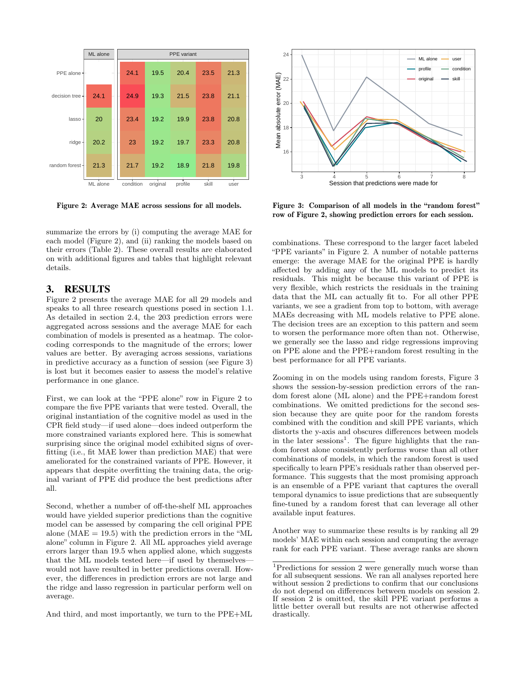

Figure 2: Average MAE across sessions for all models.

summarize the errors by (i) computing the average MAE for each model (Figure 2), and (ii) ranking the models based on their errors (Table 2). These overall results are elaborated on with additional figures and tables that highlight relevant details.

### 3. RESULTS

Figure 2 presents the average MAE for all 29 models and speaks to all three research questions posed in section 1.1. As detailed in section 2.4, the 203 prediction errors were aggregated across sessions and the average MAE for each combination of models is presented as a heatmap. The colorcoding corresponds to the magnitude of the errors; lower values are better. By averaging across sessions, variations in predictive accuracy as a function of session (see Figure 3) is lost but it becomes easier to assess the model's relative performance in one glance.

First, we can look at the "PPE alone" row in Figure 2 to compare the five PPE variants that were tested. Overall, the original instantiation of the cognitive model as used in the CPR field study—if used alone—does indeed outperform the more constrained variants explored here. This is somewhat surprising since the original model exhibited signs of overfitting (i.e., fit MAE lower than prediction MAE) that were ameliorated for the constrained variants of PPE. However, it appears that despite overfitting the training data, the original variant of PPE did produce the best predictions after all.

Second, whether a number of off-the-shelf ML approaches would have yielded superior predictions than the cognitive model can be assessed by comparing the cell original PPE alone ( $MAE = 19.5$ ) with the prediction errors in the " $ML$ alone" column in Figure 2. All ML approaches yield average errors larger than 19.5 when applied alone, which suggests that the ML models tested here—if used by themselves would not have resulted in better predictions overall. However, the differences in prediction errors are not large and the ridge and lasso regression in particular perform well on average.

And third, and most importantly, we turn to the PPE+ML



Figure 3: Comparison of all models in the "random forest" row of Figure 2, showing prediction errors for each session.

combinations. These correspond to the larger facet labeled "PPE variants" in Figure 2. A number of notable patterns emerge: the average MAE for the original PPE is hardly affected by adding any of the ML models to predict its residuals. This might be because this variant of PPE is very flexible, which restricts the residuals in the training data that the ML can actually fit to. For all other PPE variants, we see a gradient from top to bottom, with average MAEs decreasing with ML models relative to PPE alone. The decision trees are an exception to this pattern and seem to worsen the performance more often than not. Otherwise, we generally see the lasso and ridge regressions improving on PPE alone and the PPE+random forest resulting in the best performance for all PPE variants.

Zooming in on the models using random forests, Figure 3 shows the session-by-session prediction errors of the random forest alone (ML alone) and the PPE+random forest combinations. We omitted predictions for the second session because they are quite poor for the random forests combined with the condition and skill PPE variants, which distorts the y-axis and obscures differences between models in the later sessions<sup>1</sup>. The figure highlights that the random forest alone consistently performs worse than all other combinations of models, in which the random forest is used specifically to learn PPE's residuals rather than observed performance. This suggests that the most promising approach is an ensemble of a PPE variant that captures the overall temporal dynamics to issue predictions that are subsequently fine-tuned by a random forest that can leverage all other available input features.

Another way to summarize these results is by ranking all 29 models' MAE within each session and computing the average rank for each PPE variant. These average ranks are shown

<sup>1</sup>Predictions for session 2 were generally much worse than for all subsequent sessions. We ran all analyses reported here without session 2 predictions to confirm that our conclusions do not depend on differences between models on session 2. If session 2 is omitted, the skill PPE variant performs a little better overall but results are not otherwise affected drastically.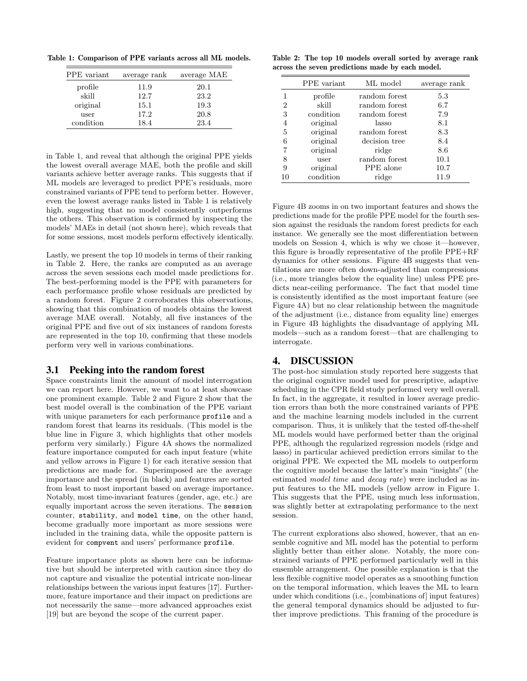Table 1: Comparison of PPE variants across all ML models.

| PPE variant | average rank | average MAE |
|-------------|--------------|-------------|
| profile     | 11.9         | 20.1        |
| skill       | 12.7         | 23.2        |
| original    | 15.1         | 19.3        |
| user        | 17.2         | 20.8        |
| condition   | 18.4         | 23.4        |

in Table 1, and reveal that although the original PPE yields the lowest overall average MAE, both the profile and skill variants achieve better average ranks. This suggests that if ML models are leveraged to predict PPE's residuals, more constrained variants of PPE tend to perform better. However, even the lowest average ranks listed in Table 1 is relatively high, suggesting that no model consistently outperforms the others. This observation is confirmed by inspecting the models' MAEs in detail (not shown here), which reveals that for some sessions, most models perform effectively identically.

Lastly, we present the top 10 models in terms of their ranking in Table 2. Here, the ranks are computed as an average across the seven sessions each model made predictions for. The best-performing model is the PPE with parameters for each performance profile whose residuals are predicted by a random forest. Figure 2 corroborates this observations, showing that this combination of models obtains the lowest average MAE overall. Notably, all five instances of the original PPE and five out of six instances of random forests are represented in the top 10, confirming that these models perform very well in various combinations.

### 3.1 Peeking into the random forest

Space constraints limit the amount of model interrogation we can report here. However, we want to at least showcase one prominent example. Table 2 and Figure 2 show that the best model overall is the combination of the PPE variant with unique parameters for each performance profile and a random forest that learns its residuals. (This model is the blue line in Figure 3, which highlights that other models perform very similarly.) Figure 4A shows the normalized feature importance computed for each input feature (white and yellow arrows in Figure 1) for each iterative session that predictions are made for. Superimposed are the average importance and the spread (in black) and features are sorted from least to most important based on average importance. Notably, most time-invariant features (gender, age, etc.) are equally important across the seven iterations. The session counter, stability, and model time, on the other hand, become gradually more important as more sessions were included in the training data, while the opposite pattern is evident for compvent and users' performance profile.

Feature importance plots as shown here can be informative but should be interpreted with caution since they do not capture and visualize the potential intricate non-linear relationships between the various input features [17]. Furthermore, feature importance and their impact on predictions are not necessarily the same—more advanced approaches exist [19] but are beyond the scope of the current paper.

Table 2: The top 10 models overall sorted by average rank across the seven predictions made by each model.

|                | PPE variant | ML model      | average rank |
|----------------|-------------|---------------|--------------|
|                | profile     | random forest | 5.3          |
| $\overline{2}$ | skill       | random forest | 6.7          |
| 3              | condition   | random forest | 7.9          |
| 4              | original    | lasso         | 8.1          |
| -5             | original    | random forest | 8.3          |
| 6              | original    | decision tree | 8.4          |
|                | original    | ridge         | 8.6          |
| 8              | user        | random forest | 10.1         |
| 9              | original    | PPE alone     | 10.7         |
| 10             | condition   | ridge         | 11.9         |

Figure 4B zooms in on two important features and shows the predictions made for the profile PPE model for the fourth session against the residuals the random forest predicts for each instance. We generally see the most differentiation between models on Session 4, which is why we chose it—however, this figure is broadly representative of the profile PPE+RF dynamics for other sessions. Figure 4B suggests that ventilations are more often down-adjusted than compressions (i.e., more triangles below the equality line) unless PPE predicts near-ceiling performance. The fact that model time is consistently identified as the most important feature (see Figure 4A) but no clear relationship between the magnitude of the adjustment (i.e., distance from equality line) emerges in Figure 4B highlights the disadvantage of applying ML models—such as a random forest—that are challenging to interrogate.

## 4. DISCUSSION

The post-hoc simulation study reported here suggests that the original cognitive model used for prescriptive, adaptive scheduling in the CPR field study performed very well overall. In fact, in the aggregate, it resulted in lower average prediction errors than both the more constrained variants of PPE and the machine learning models included in the current comparison. Thus, it is unlikely that the tested off-the-shelf ML models would have performed better than the original PPE, although the regularized regression models (ridge and lasso) in particular achieved prediction errors similar to the original PPE. We expected the ML models to outperform the cognitive model because the latter's main "insights" (the estimated model time and decay rate) were included as input features to the ML models (yellow arrow in Figure 1. This suggests that the PPE, using much less information, was slightly better at extrapolating performance to the next session.

The current explorations also showed, however, that an ensemble cognitive and ML model has the potential to perform slightly better than either alone. Notably, the more constrained variants of PPE performed particularly well in this ensemble arrangement. One possible explanation is that the less flexible cognitive model operates as a smoothing function on the temporal information, which leaves the ML to learn under which conditions (i.e., [combinations of] input features) the general temporal dynamics should be adjusted to further improve predictions. This framing of the procedure is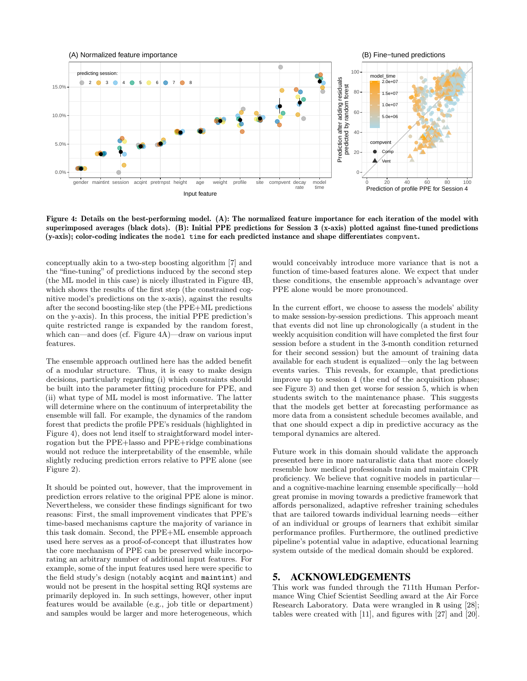

Figure 4: Details on the best-performing model. (A): The normalized feature importance for each iteration of the model with superimposed averages (black dots). (B): Initial PPE predictions for Session 3 (x-axis) plotted against fine-tuned predictions (y-axis); color-coding indicates the model time for each predicted instance and shape differentiates compvent.

conceptually akin to a two-step boosting algorithm [7] and the "fine-tuning" of predictions induced by the second step (the ML model in this case) is nicely illustrated in Figure 4B, which shows the results of the first step (the constrained cognitive model's predictions on the x-axis), against the results after the second boosting-like step (the PPE+ML predictions on the y-axis). In this process, the initial PPE prediction's quite restricted range is expanded by the random forest, which can—and does (cf. Figure 4A)—draw on various input features.

The ensemble approach outlined here has the added benefit of a modular structure. Thus, it is easy to make design decisions, particularly regarding (i) which constraints should be built into the parameter fitting procedure for PPE, and (ii) what type of ML model is most informative. The latter will determine where on the continuum of interpretability the ensemble will fall. For example, the dynamics of the random forest that predicts the profile PPE's residuals (highlighted in Figure 4), does not lend itself to straightforward model interrogation but the PPE+lasso and PPE+ridge combinations would not reduce the interpretability of the ensemble, while slightly reducing prediction errors relative to PPE alone (see Figure 2).

It should be pointed out, however, that the improvement in prediction errors relative to the original PPE alone is minor. Nevertheless, we consider these findings significant for two reasons: First, the small improvement vindicates that PPE's time-based mechanisms capture the majority of variance in this task domain. Second, the PPE+ML ensemble approach used here serves as a proof-of-concept that illustrates how the core mechanism of PPE can be preserved while incorporating an arbitrary number of additional input features. For example, some of the input features used here were specific to the field study's design (notably acqint and maintint) and would not be present in the hospital setting RQI systems are primarily deployed in. In such settings, however, other input features would be available (e.g., job title or department) and samples would be larger and more heterogeneous, which

would conceivably introduce more variance that is not a function of time-based features alone. We expect that under these conditions, the ensemble approach's advantage over PPE alone would be more pronounced.

In the current effort, we choose to assess the models' ability to make session-by-session predictions. This approach meant that events did not line up chronologically (a student in the weekly acquisition condition will have completed the first four session before a student in the 3-month condition returned for their second session) but the amount of training data available for each student is equalized—only the lag between events varies. This reveals, for example, that predictions improve up to session 4 (the end of the acquisition phase; see Figure 3) and then get worse for session 5, which is when students switch to the maintenance phase. This suggests that the models get better at forecasting performance as more data from a consistent schedule becomes available, and that one should expect a dip in predictive accuracy as the temporal dynamics are altered.

Future work in this domain should validate the approach presented here in more naturalistic data that more closely resemble how medical professionals train and maintain CPR proficiency. We believe that cognitive models in particular and a cognitive-machine learning ensemble specifically—hold great promise in moving towards a predictive framework that affords personalized, adaptive refresher training schedules that are tailored towards individual learning needs—either of an individual or groups of learners that exhibit similar performance profiles. Furthermore, the outlined predictive pipeline's potential value in adaptive, educational learning system outside of the medical domain should be explored.

# 5. ACKNOWLEDGEMENTS

This work was funded through the 711th Human Performance Wing Chief Scientist Seedling award at the Air Force Research Laboratory. Data were wrangled in R using [28]; tables were created with [11], and figures with [27] and [20].